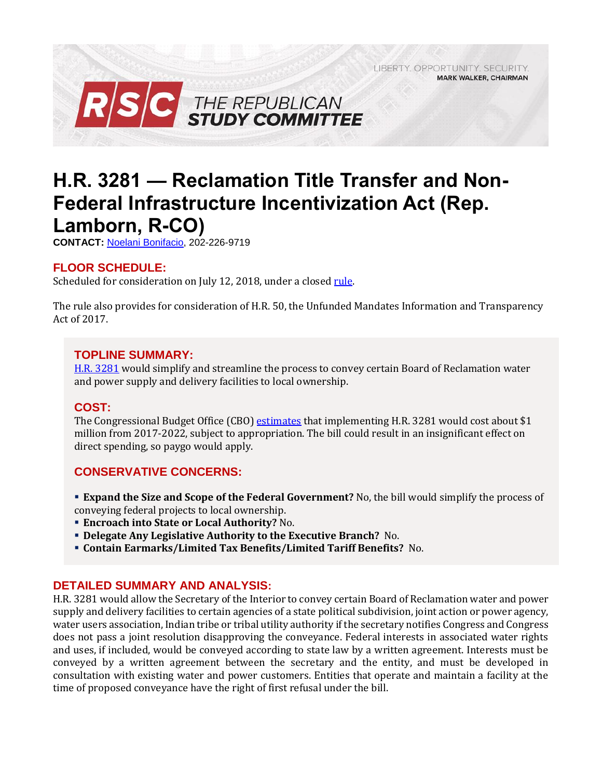LIBERTY. OPPORTUNITY. SECURITY. **MARK WALKER, CHAIRMAN** 



# **H.R. 3281 — Reclamation Title Transfer and Non-Federal Infrastructure Incentivization Act (Rep. Lamborn, R-CO)**

**CONTACT:** [Noelani Bonifacio,](mailto:Noelani.Bonifacio@mail.house.gov) 202-226-9719

# **FLOOR SCHEDULE:**

Scheduled for consideration on July 12, 2018, under a close[d rule.](https://rules.house.gov/sites/republicans.rules.house.gov/files/Rule_HR50HR3281.pdf)

The rule also provides for consideration of H.R. 50, the Unfunded Mandates Information and Transparency Act of 2017.

## **TOPLINE SUMMARY:**

[H.R. 3281](https://www.gpo.gov/fdsys/pkg/BILLS-115hr3281rh/pdf/BILLS-115hr3281rh.pdf) would simplify and streamline the process to convey certain Board of Reclamation water and power supply and delivery facilities to local ownership.

#### **COST:**

The Congressional Budget Office (CBO) [estimates](https://www.cbo.gov/system/files/115th-congress-2017-2018/costestimate/hr3281.pdf) that implementing H.R. 3281 would cost about \$1 million from 2017-2022, subject to appropriation. The bill could result in an insignificant effect on direct spending, so paygo would apply.

## **CONSERVATIVE CONCERNS:**

- **Expand the Size and Scope of the Federal Government?** No, the bill would simplify the process of conveying federal projects to local ownership.
- **Encroach into State or Local Authority?** No.
- **Delegate Any Legislative Authority to the Executive Branch?** No.
- **Contain Earmarks/Limited Tax Benefits/Limited Tariff Benefits?** No.

## **DETAILED SUMMARY AND ANALYSIS:**

H.R. 3281 would allow the Secretary of the Interior to convey certain Board of Reclamation water and power supply and delivery facilities to certain agencies of a state political subdivision, joint action or power agency, water users association, Indian tribe or tribal utility authority if the secretary notifies Congress and Congress does not pass a joint resolution disapproving the conveyance. Federal interests in associated water rights and uses, if included, would be conveyed according to state law by a written agreement. Interests must be conveyed by a written agreement between the secretary and the entity, and must be developed in consultation with existing water and power customers. Entities that operate and maintain a facility at the time of proposed conveyance have the right of first refusal under the bill.